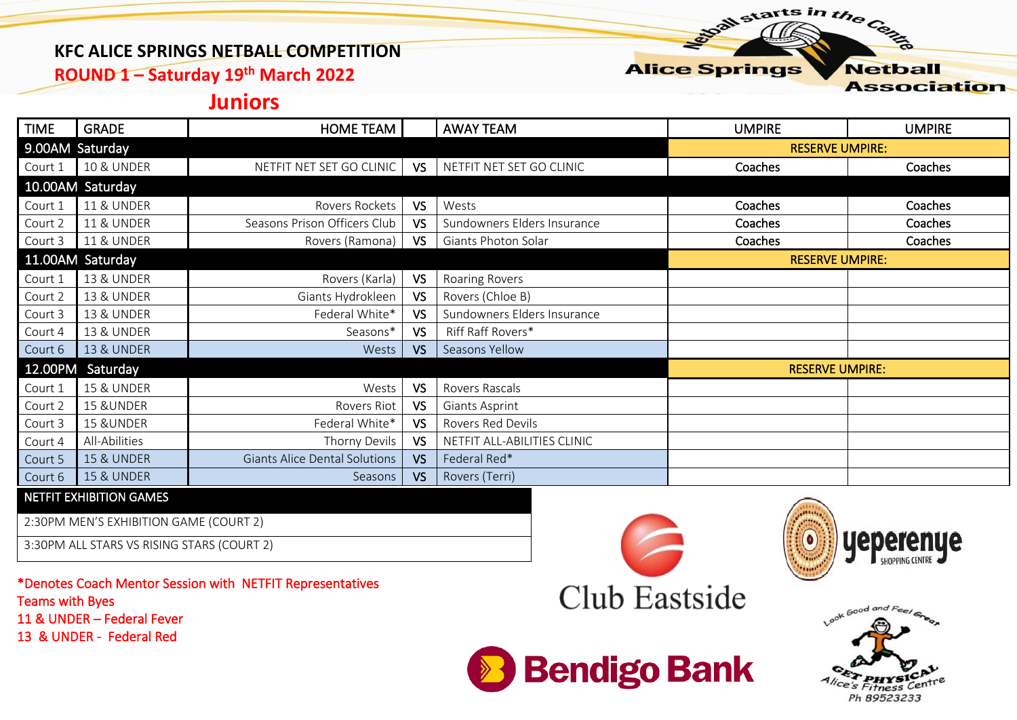### **KFC ALICE SPRINGS NETBALL COMPETITION**

**ROUND 1 – Saturday 19th March 2022**

## **Juniors**

| <b>TIME</b>      | <b>GRADE</b>          | <b>HOME TEAM</b>                     |           | <b>AWAY TEAM</b>            | <b>UMPIRE</b>          | <b>UMPIRE</b> |  |
|------------------|-----------------------|--------------------------------------|-----------|-----------------------------|------------------------|---------------|--|
| 9.00AM Saturday  |                       |                                      |           |                             | <b>RESERVE UMPIRE:</b> |               |  |
| Court 1          | <b>10 &amp; UNDER</b> | NETFIT NET SET GO CLINIC             | VS        | NETFIT NET SET GO CLINIC    | Coaches                | Coaches       |  |
|                  | 10.00AM Saturday      |                                      |           |                             |                        |               |  |
| Court 1          | <b>11 &amp; UNDER</b> | Rovers Rockets                       | VS.       | Wests                       | Coaches                | Coaches       |  |
| Court 2          | <b>11 &amp; UNDER</b> | Seasons Prison Officers Club         | <b>VS</b> | Sundowners Elders Insurance | Coaches                | Coaches       |  |
| Court 3          | <b>11 &amp; UNDER</b> | Rovers (Ramona)                      | <b>VS</b> | Giants Photon Solar         | Coaches                | Coaches       |  |
| 11.00AM Saturday |                       |                                      |           | <b>RESERVE UMPIRE:</b>      |                        |               |  |
| Court 1          | <b>13 &amp; UNDER</b> | Rovers (Karla)                       | VS        | Roaring Rovers              |                        |               |  |
| Court 2          | <b>13 &amp; UNDER</b> | Giants Hydrokleen                    | VS        | Rovers (Chloe B)            |                        |               |  |
| Court 3          | <b>13 &amp; UNDER</b> | Federal White*                       | VS        | Sundowners Elders Insurance |                        |               |  |
| Court 4          | <b>13 &amp; UNDER</b> | Seasons*                             | VS        | Riff Raff Rovers*           |                        |               |  |
| Court 6          | <b>13 &amp; UNDER</b> | Wests                                | VS        | Seasons Yellow              |                        |               |  |
|                  | 12.00PM Saturday      |                                      |           |                             | <b>RESERVE UMPIRE:</b> |               |  |
| Court 1          | <b>15 &amp; UNDER</b> | Wests                                | VS        | Rovers Rascals              |                        |               |  |
| Court 2          | 15 & UNDER            | Rovers Riot                          | VS        | Giants Asprint              |                        |               |  |
| Court 3          | 15 & UNDER            | Federal White*                       | VS        | Rovers Red Devils           |                        |               |  |
| Court 4          | All-Abilities         | Thorny Devils                        | VS        | NETFIT ALL-ABILITIES CLINIC |                        |               |  |
| Court 5          | <b>15 &amp; UNDER</b> | <b>Giants Alice Dental Solutions</b> | <b>VS</b> | Federal Red*                |                        |               |  |
| Court 6          | <b>15 &amp; UNDER</b> | Seasons                              | VS        | Rovers (Terri)              |                        |               |  |

#### NETFIT EXHIBITION GAMES

2:30PM MEN'S EXHIBITION GAME (COURT 2)

3:30PM ALL STARS VS RISING STARS (COURT 2)

\*Denotes Coach Mentor Session with NETFIT Representatives Teams with Byes 11 & UNDER – Federal Fever 13 & UNDER - Federal Red



**Bendigo Bank** 





**Alice Springs** 

starts in the Centre

**Association** 

**Netball**